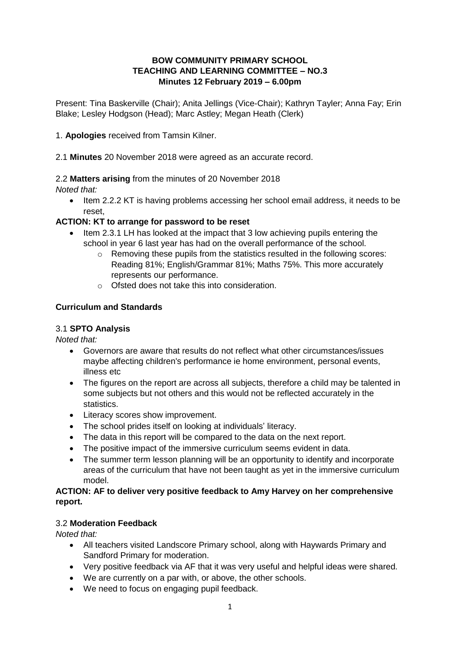## **BOW COMMUNITY PRIMARY SCHOOL TEACHING AND LEARNING COMMITTEE – NO.3 Minutes 12 February 2019 – 6.00pm**

Present: Tina Baskerville (Chair); Anita Jellings (Vice-Chair); Kathryn Tayler; Anna Fay; Erin Blake; Lesley Hodgson (Head); Marc Astley; Megan Heath (Clerk)

- 1. **Apologies** received from Tamsin Kilner.
- 2.1 **Minutes** 20 November 2018 were agreed as an accurate record.

#### 2.2 **Matters arising** from the minutes of 20 November 2018

*Noted that:*

 Item 2.2.2 KT is having problems accessing her school email address, it needs to be reset,

#### **ACTION: KT to arrange for password to be reset**

- Item 2.3.1 LH has looked at the impact that 3 low achieving pupils entering the school in year 6 last year has had on the overall performance of the school.
	- $\circ$  Removing these pupils from the statistics resulted in the following scores: Reading 81%; English/Grammar 81%; Maths 75%. This more accurately represents our performance.
	- o Ofsted does not take this into consideration.

#### **Curriculum and Standards**

#### 3.1 **SPTO Analysis**

*Noted that:*

- Governors are aware that results do not reflect what other circumstances/issues maybe affecting children's performance ie home environment, personal events, illness etc
- The figures on the report are across all subjects, therefore a child may be talented in some subjects but not others and this would not be reflected accurately in the statistics.
- Literacy scores show improvement.
- The school prides itself on looking at individuals' literacy.
- The data in this report will be compared to the data on the next report.
- The positive impact of the immersive curriculum seems evident in data.
- The summer term lesson planning will be an opportunity to identify and incorporate areas of the curriculum that have not been taught as yet in the immersive curriculum model.

#### **ACTION: AF to deliver very positive feedback to Amy Harvey on her comprehensive report.**

#### 3.2 **Moderation Feedback**

- All teachers visited Landscore Primary school, along with Haywards Primary and Sandford Primary for moderation.
- Very positive feedback via AF that it was very useful and helpful ideas were shared.
- We are currently on a par with, or above, the other schools.
- We need to focus on engaging pupil feedback.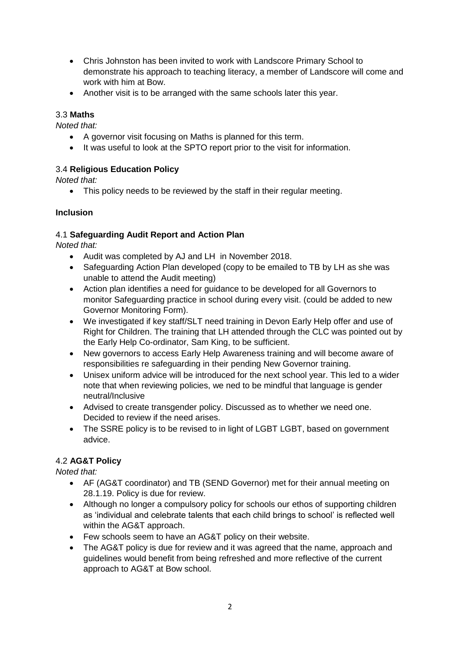- Chris Johnston has been invited to work with Landscore Primary School to demonstrate his approach to teaching literacy, a member of Landscore will come and work with him at Bow.
- Another visit is to be arranged with the same schools later this year.

#### 3.3 **Maths**

*Noted that:*

- A governor visit focusing on Maths is planned for this term.
- It was useful to look at the SPTO report prior to the visit for information.

#### 3.4 **Religious Education Policy**

*Noted that:*

• This policy needs to be reviewed by the staff in their regular meeting.

#### **Inclusion**

#### 4.1 **Safeguarding Audit Report and Action Plan**

*Noted that:*

- Audit was completed by AJ and LH in November 2018.
- Safeguarding Action Plan developed (copy to be emailed to TB by LH as she was unable to attend the Audit meeting)
- Action plan identifies a need for guidance to be developed for all Governors to monitor Safeguarding practice in school during every visit. (could be added to new Governor Monitoring Form).
- We investigated if key staff/SLT need training in Devon Early Help offer and use of Right for Children. The training that LH attended through the CLC was pointed out by the Early Help Co-ordinator, Sam King, to be sufficient.
- New governors to access Early Help Awareness training and will become aware of responsibilities re safeguarding in their pending New Governor training.
- Unisex uniform advice will be introduced for the next school year. This led to a wider note that when reviewing policies, we ned to be mindful that language is gender neutral/Inclusive
- Advised to create transgender policy. Discussed as to whether we need one. Decided to review if the need arises.
- The SSRE policy is to be revised to in light of LGBT LGBT, based on government advice.

## 4.2 **AG&T Policy**

- AF (AG&T coordinator) and TB (SEND Governor) met for their annual meeting on 28.1.19. Policy is due for review.
- Although no longer a compulsory policy for schools our ethos of supporting children as 'individual and celebrate talents that each child brings to school' is reflected well within the AG&T approach.
- Few schools seem to have an AG&T policy on their website.
- The AG&T policy is due for review and it was agreed that the name, approach and guidelines would benefit from being refreshed and more reflective of the current approach to AG&T at Bow school.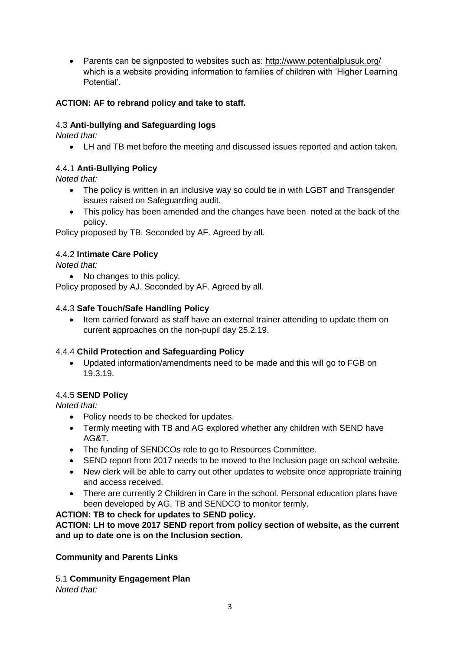• Parents can be signposted to websites such as: <http://www.potentialplusuk.org/> which is a website providing information to families of children with 'Higher Learning Potential'.

# **ACTION: AF to rebrand policy and take to staff.**

# 4.3 **Anti-bullying and Safeguarding logs**

*Noted that:*

LH and TB met before the meeting and discussed issues reported and action taken.

# 4.4.1 **Anti-Bullying Policy**

*Noted that:*

- The policy is written in an inclusive way so could tie in with LGBT and Transgender issues raised on Safeguarding audit.
- This policy has been amended and the changes have been noted at the back of the policy.

Policy proposed by TB. Seconded by AF. Agreed by all.

## 4.4.2 **Intimate Care Policy**

*Noted that:* 

• No changes to this policy.

Policy proposed by AJ. Seconded by AF. Agreed by all.

## 4.4.3 **Safe Touch/Safe Handling Policy**

 Item carried forward as staff have an external trainer attending to update them on current approaches on the non-pupil day 25.2.19.

## 4.4.4 **Child Protection and Safeguarding Policy**

 Updated information/amendments need to be made and this will go to FGB on 19.3.19.

## 4.4.5 **SEND Policy**

*Noted that:*

- Policy needs to be checked for updates.
- Termly meeting with TB and AG explored whether any children with SEND have AG&T.
- The funding of SENDCOs role to go to Resources Committee.
- SEND report from 2017 needs to be moved to the Inclusion page on school website.
- New clerk will be able to carry out other updates to website once appropriate training and access received.
- There are currently 2 Children in Care in the school. Personal education plans have been developed by AG. TB and SENDCO to monitor termly.

## **ACTION: TB to check for updates to SEND policy.**

**ACTION: LH to move 2017 SEND report from policy section of website, as the current and up to date one is on the Inclusion section.**

## **Community and Parents Links**

5.1 **Community Engagement Plan**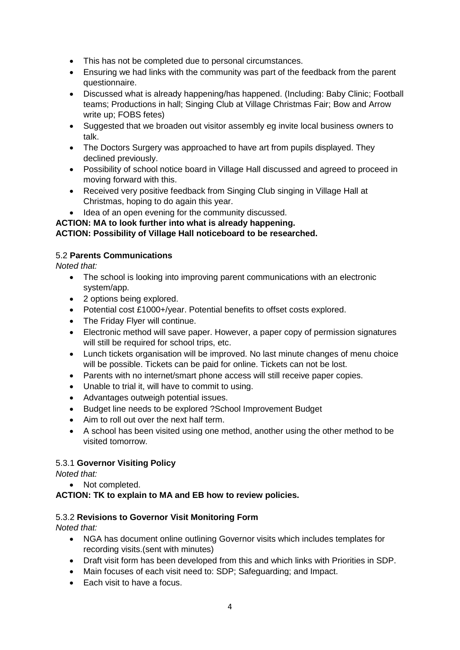- This has not be completed due to personal circumstances.
- Ensuring we had links with the community was part of the feedback from the parent questionnaire.
- Discussed what is already happening/has happened. (Including: Baby Clinic; Football teams; Productions in hall; Singing Club at Village Christmas Fair; Bow and Arrow write up; FOBS fetes)
- Suggested that we broaden out visitor assembly eg invite local business owners to talk.
- The Doctors Surgery was approached to have art from pupils displayed. They declined previously.
- Possibility of school notice board in Village Hall discussed and agreed to proceed in moving forward with this.
- Received very positive feedback from Singing Club singing in Village Hall at Christmas, hoping to do again this year.
- Idea of an open evening for the community discussed.

#### **ACTION: MA to look further into what is already happening.**

## **ACTION: Possibility of Village Hall noticeboard to be researched.**

## 5.2 **Parents Communications**

*Noted that:*

- The school is looking into improving parent communications with an electronic system/app.
- 2 options being explored.
- Potential cost £1000+/year. Potential benefits to offset costs explored.
- The Friday Flyer will continue.
- Electronic method will save paper. However, a paper copy of permission signatures will still be required for school trips, etc.
- Lunch tickets organisation will be improved. No last minute changes of menu choice will be possible. Tickets can be paid for online. Tickets can not be lost.
- Parents with no internet/smart phone access will still receive paper copies.
- Unable to trial it, will have to commit to using.
- Advantages outweigh potential issues.
- Budget line needs to be explored ?School Improvement Budget
- Aim to roll out over the next half term.
- A school has been visited using one method, another using the other method to be visited tomorrow.

## 5.3.1 **Governor Visiting Policy**

*Noted that:* 

• Not completed.

#### **ACTION: TK to explain to MA and EB how to review policies.**

## 5.3.2 **Revisions to Governor Visit Monitoring Form**

- NGA has document online outlining Governor visits which includes templates for recording visits.(sent with minutes)
- Draft visit form has been developed from this and which links with Priorities in SDP.
- Main focuses of each visit need to: SDP; Safeguarding; and Impact.
- Each visit to have a focus.